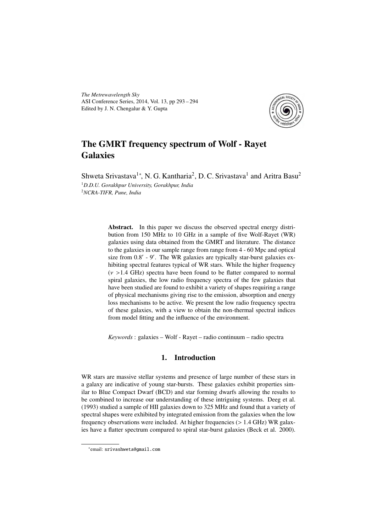*The Metrewavelength Sky* ASI Conference Series, 2014, Vol. 13, pp 293 – 294 Edited by J. N. Chengalur & Y. Gupta



# The GMRT frequency spectrum of Wolf - Rayet Galaxies

Shweta Srivastava<sup>1</sup>\*, N. G. Kantharia<sup>2</sup>, D. C. Srivastava<sup>1</sup> and Aritra Basu<sup>2</sup> <sup>1</sup>*D.D.U. Gorakhpur University, Gorakhpur, India* <sup>2</sup>*NCRA-TIFR, Pune, India*

> Abstract. In this paper we discuss the observed spectral energy distribution from 150 MHz to 10 GHz in a sample of five Wolf-Rayet (WR) galaxies using data obtained from the GMRT and literature. The distance to the galaxies in our sample range from range from 4 - 60 Mpc and optical size from 0.8' - 9'. The WR galaxies are typically star-burst galaxies exhibiting spectral features typical of WR stars. While the higher frequency  $(v > 1.4 \text{ GHz})$  spectra have been found to be flatter compared to normal spiral galaxies, the low radio frequency spectra of the few galaxies that have been studied are found to exhibit a variety of shapes requiring a range of physical mechanisms giving rise to the emission, absorption and energy loss mechanisms to be active. We present the low radio frequency spectra of these galaxies, with a view to obtain the non-thermal spectral indices from model fitting and the influence of the environment.

*Keywords* : galaxies – Wolf - Rayet – radio continuum – radio spectra

## 1. Introduction

WR stars are massive stellar systems and presence of large number of these stars in a galaxy are indicative of young star-bursts. These galaxies exhibit properties similar to Blue Compact Dwarf (BCD) and star forming dwarfs allowing the results to be combined to increase our understanding of these intriguing systems. Deeg et al. (1993) studied a sample of HII galaxies down to 325 MHz and found that a variety of spectral shapes were exhibited by integrated emission from the galaxies when the low frequency observations were included. At higher frequencies (> 1.4 GHz) WR galaxies have a flatter spectrum compared to spiral star-burst galaxies (Beck et al. 2000).

<sup>∗</sup> email: srivashweta@gmail.com